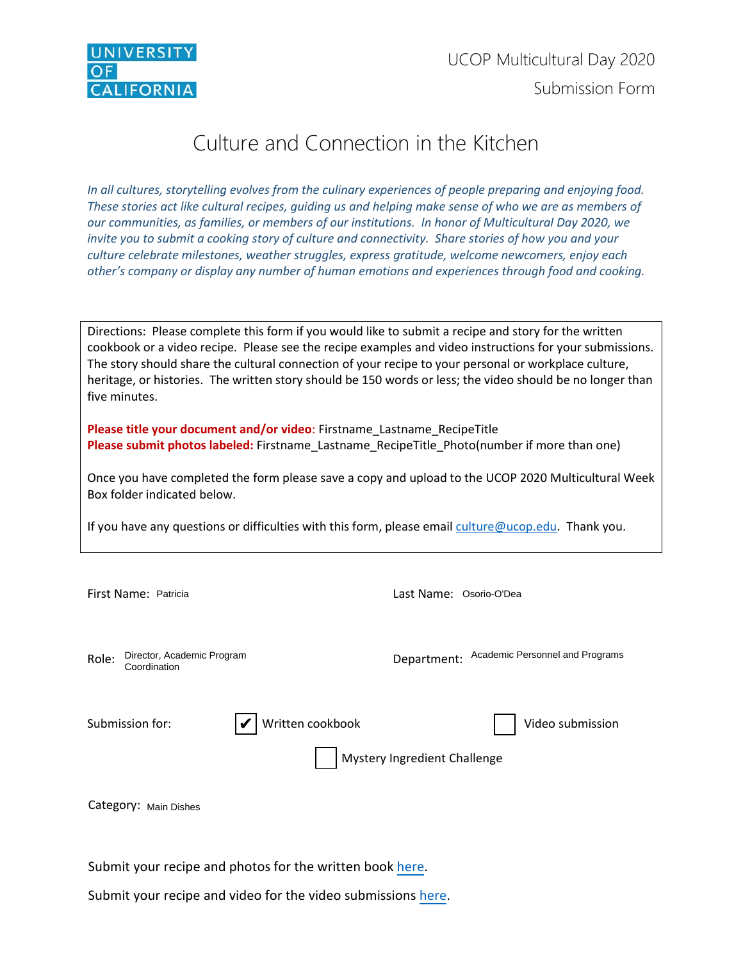

# Culture and Connection in the Kitchen

*In all cultures, storytelling evolves from the culinary experiences of people preparing and enjoying food. These stories act like cultural recipes, guiding us and helping make sense of who we are as members of our communities, as families, or members of our institutions. In honor of Multicultural Day 2020, we invite you to submit a cooking story of culture and connectivity. Share stories of how you and your culture celebrate milestones, weather struggles, express gratitude, welcome newcomers, enjoy each other's company or display any number of human emotions and experiences through food and cooking.*

Directions: Please complete this form if you would like to submit a recipe and story for the written cookbook or a video recipe. Please see the recipe examples and video instructions for your submissions. The story should share the cultural connection of your recipe to your personal or workplace culture, heritage, or histories. The written story should be 150 words or less; the video should be no longer than five minutes.

**Please title your document and/or video**: Firstname\_Lastname\_RecipeTitle **Please submit photos labeled:** Firstname\_Lastname\_RecipeTitle\_Photo(number if more than one)

Once you have completed the form please save a copy and upload to the UCOP 2020 Multicultural Week Box folder indicated below.

If you have any questions or difficulties with this form, please emai[l culture@ucop.edu.](mailto:culture@ucop.edu) Thank you.

| First Name: Patricia                                | Last Name: Osorio-O'Dea                        |
|-----------------------------------------------------|------------------------------------------------|
| Director, Academic Program<br>Role:<br>Coordination | Academic Personnel and Programs<br>Department: |
| Written cookbook<br>Submission for:                 | Video submission                               |
|                                                     | Mystery Ingredient Challenge                   |
| Category: Main Dishes                               |                                                |

Submit your recipe and photos for the written book [here.](https://ucop.app.box.com/f/27432d61798744128588ba99da610580)

Submit your recipe and video for the video submissions [here.](https://ucop.app.box.com/f/2c343dac901e4fa09b9ee6e8ac99da11)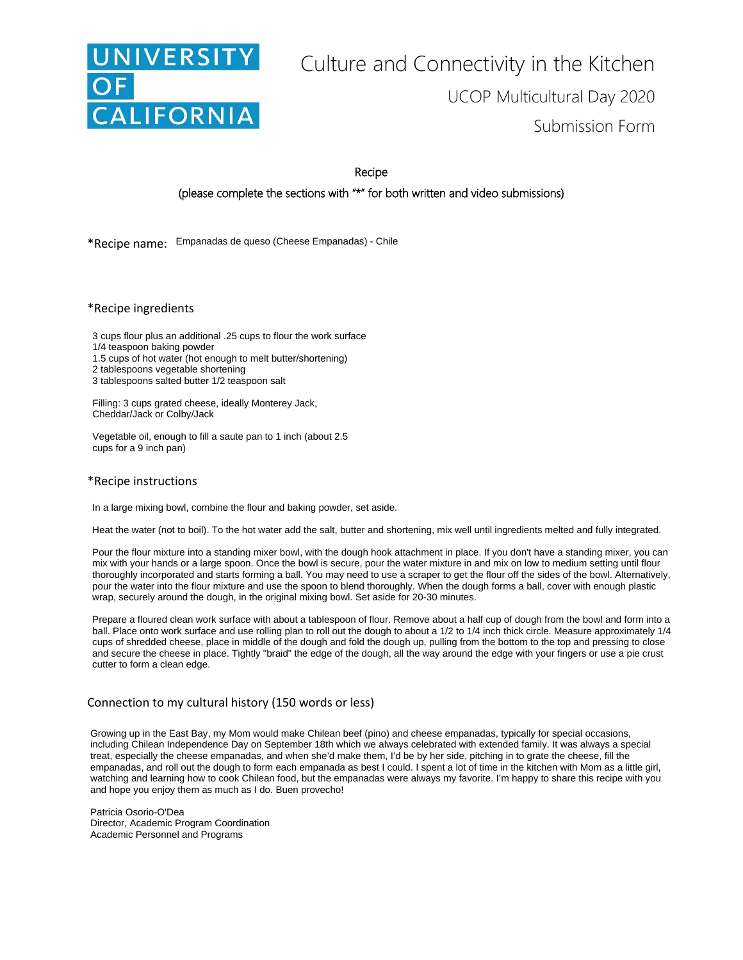

# Culture and Connectivity in the Kitchen UCOP Multicultural Day 2020 Submission Form

Recipe

(please complete the sections with "\*" for both written and video submissions)

\*Recipe name: Empanadas de queso (Cheese Empanadas) - Chile

\*Recipe ingredients

3 cups flour plus an additional .25 cups to flour the work surface

- 1/4 teaspoon baking powder
- 1.5 cups of hot water (hot enough to melt butter/shortening)
- 2 tablespoons vegetable shortening

3 tablespoons salted butter 1/2 teaspoon salt

Filling: 3 cups grated cheese, ideally Monterey Jack, Cheddar/Jack or Colby/Jack

Vegetable oil, enough to fill a saute pan to 1 inch (about 2.5 cups for a 9 inch pan)

#### \*Recipe instructions

In a large mixing bowl, combine the flour and baking powder, set aside.

Heat the water (not to boil). To the hot water add the salt, butter and shortening, mix well until ingredients melted and fully integrated.

Pour the flour mixture into a standing mixer bowl, with the dough hook attachment in place. If you don't have a standing mixer, you can mix with your hands or a large spoon. Once the bowl is secure, pour the water mixture in and mix on low to medium setting until flour thoroughly incorporated and starts forming a ball. You may need to use a scraper to get the flour off the sides of the bowl. Alternatively, pour the water into the flour mixture and use the spoon to blend thoroughly. When the dough forms a ball, cover with enough plastic wrap, securely around the dough, in the original mixing bowl. Set aside for 20-30 minutes.

Prepare a floured clean work surface with about a tablespoon of flour. Remove about a half cup of dough from the bowl and form into a ball. Place onto work surface and use rolling plan to roll out the dough to about a 1/2 to 1/4 inch thick circle. Measure approximately 1/4 cups of shredded cheese, place in middle of the dough and fold the dough up, pulling from the bottom to the top and pressing to close and secure the cheese in place. Tightly "braid" the edge of the dough, all the way around the edge with your fingers or use a pie crust cutter to form a clean edge.

# Connection to my cultural history (150 words or less)

Growing up in the East Bay, my Mom would make Chilean beef (pino) and cheese empanadas, typically for special occasions, including Chilean Independence Day on September 18th which we always celebrated with extended family. It was always a special treat, especially the cheese empanadas, and when she'd make them, I'd be by her side, pitching in to grate the cheese, fill the watching and learning how to cook Chilean food, but the empanadas were always my favorite. I'm happy to share this recipe with you empanadas, and roll out the dough to form each empanada as best I could. I spent a lot of time in the kitchen with Mom as a little girl, and hope you enjoy them as much as I do. Buen provecho!

Patricia Osorio-O'Dea Director, Academic Program Coordination Academic Personnel and Programs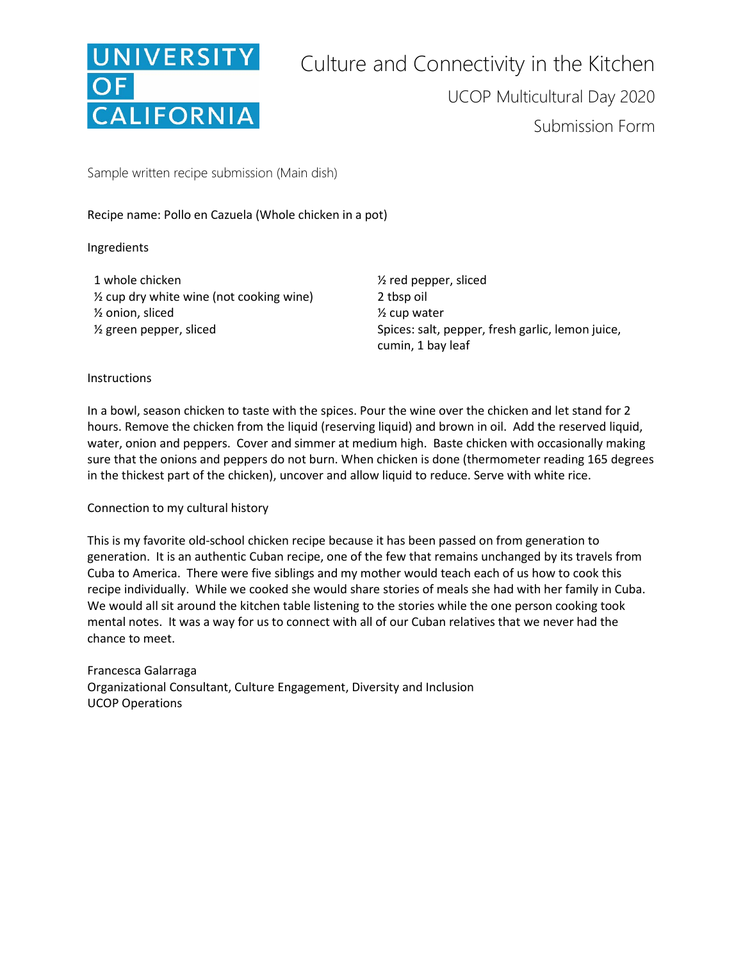

Sample written recipe submission (Main dish)

Recipe name: Pollo en Cazuela (Whole chicken in a pot)

Ingredients

1 whole chicken ½ red pepper, sliced  $\frac{1}{2}$  cup dry white wine (not cooking wine) 2 tbsp oil ½ onion, sliced ½ cup water

<sup>1/2</sup> green pepper, sliced Spices: salt, pepper, fresh garlic, lemon juice, cumin, 1 bay leaf

## **Instructions**

In a bowl, season chicken to taste with the spices. Pour the wine over the chicken and let stand for 2 hours. Remove the chicken from the liquid (reserving liquid) and brown in oil. Add the reserved liquid, water, onion and peppers. Cover and simmer at medium high. Baste chicken with occasionally making sure that the onions and peppers do not burn. When chicken is done (thermometer reading 165 degrees in the thickest part of the chicken), uncover and allow liquid to reduce. Serve with white rice.

## Connection to my cultural history

This is my favorite old-school chicken recipe because it has been passed on from generation to generation. It is an authentic Cuban recipe, one of the few that remains unchanged by its travels from Cuba to America. There were five siblings and my mother would teach each of us how to cook this recipe individually. While we cooked she would share stories of meals she had with her family in Cuba. We would all sit around the kitchen table listening to the stories while the one person cooking took mental notes. It was a way for us to connect with all of our Cuban relatives that we never had the chance to meet.

Francesca Galarraga Organizational Consultant, Culture Engagement, Diversity and Inclusion UCOP Operations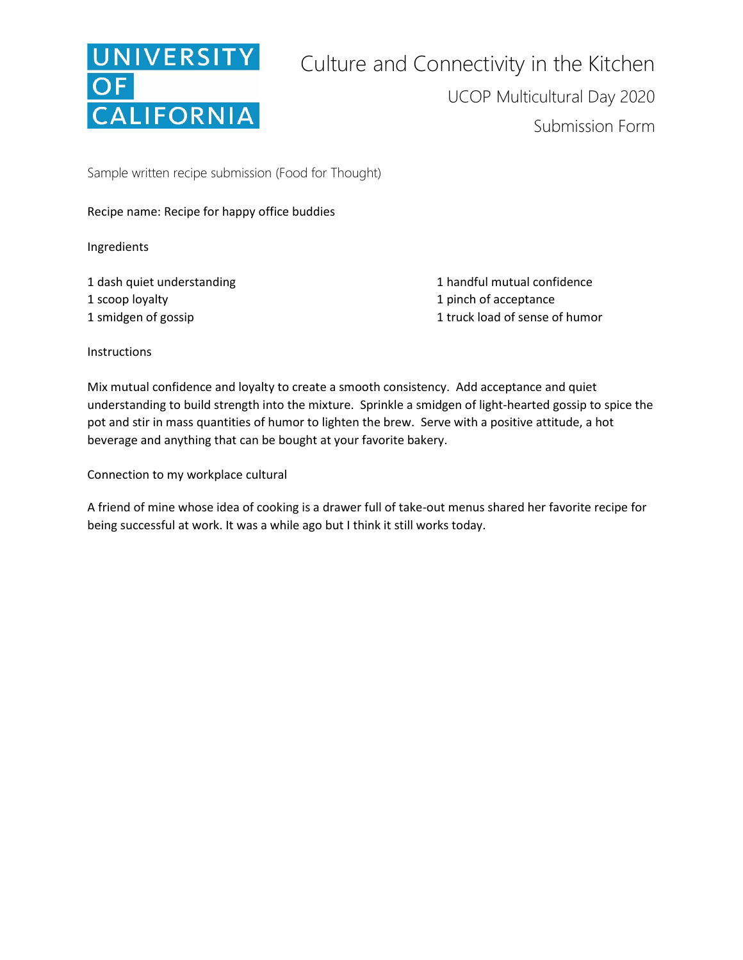

Sample written recipe submission (Food for Thought)

Recipe name: Recipe for happy office buddies

Ingredients

1 dash quiet understanding 1 scoop loyalty 1 smidgen of gossip

1 handful mutual confidence 1 pinch of acceptance 1 truck load of sense of humor

**Instructions** 

Mix mutual confidence and loyalty to create a smooth consistency. Add acceptance and quiet understanding to build strength into the mixture. Sprinkle a smidgen of light-hearted gossip to spice the pot and stir in mass quantities of humor to lighten the brew. Serve with a positive attitude, a hot beverage and anything that can be bought at your favorite bakery.

Connection to my workplace cultural

A friend of mine whose idea of cooking is a drawer full of take-out menus shared her favorite recipe for being successful at work. It was a while ago but I think it still works today.